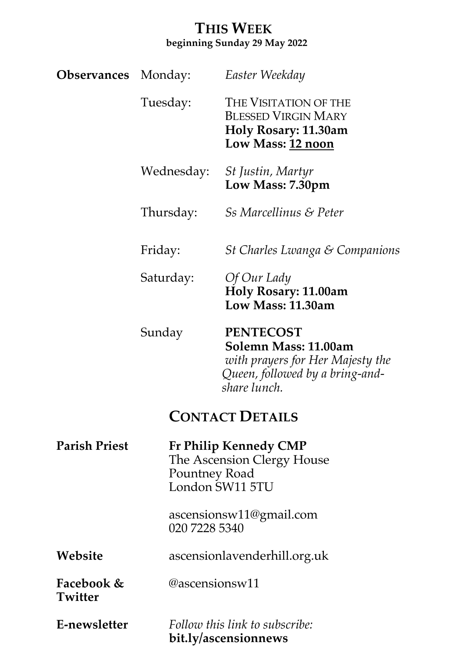#### **THIS WEEK beginning Sunday 29 May 2022**

| <b>Observances</b> Monday: |                                                                                                | Easter Weekday                                                                                                                  |
|----------------------------|------------------------------------------------------------------------------------------------|---------------------------------------------------------------------------------------------------------------------------------|
|                            | Tuesday:                                                                                       | THE VISITATION OF THE<br><b>BLESSED VIRGIN MARY</b><br><b>Holy Rosary: 11.30am</b><br>Low Mass: 12 noon                         |
|                            | Wednesday:                                                                                     | <i>St Justin, Martyr</i><br>Low Mass: 7.30pm                                                                                    |
|                            | Thursday:                                                                                      | <i>Ss Marcellinus &amp; Peter</i>                                                                                               |
|                            | Friday:                                                                                        | <i>St Charles Lwanga &amp; Companions</i>                                                                                       |
|                            | Saturday:                                                                                      | Of Our Lady<br>Holy Rosary: 11.00am<br>Low Mass: 11.30am                                                                        |
|                            | Sunday                                                                                         | <b>PENTECOST</b><br>Solemn Mass: 11.00am<br>with prayers for Her Majesty the<br>Queen, followed by a bring-and-<br>share lunch. |
|                            |                                                                                                | <b>CONTACT DETAILS</b>                                                                                                          |
| <b>Parish Priest</b>       | <b>Fr Philip Kennedy CMP</b><br>The Ascension Clergy House<br>Pountney Road<br>London SW11 5TU |                                                                                                                                 |
|                            | 020 7228 5340                                                                                  | ascensionsw11@gmail.com                                                                                                         |
| Website                    | ascensionlavenderhill.org.uk                                                                   |                                                                                                                                 |
| Facebook &<br>Twitter      | @ascensionsw11                                                                                 |                                                                                                                                 |
| E-newsletter               |                                                                                                | Follow this link to subscribe:<br>bit.ly/ascensionnews                                                                          |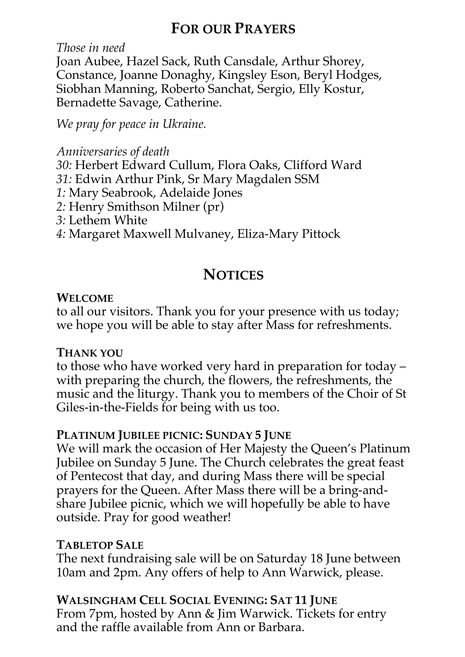# **FOR OUR PRAYERS**

*Those in need*

Joan Aubee, Hazel Sack, Ruth Cansdale, Arthur Shorey, Constance, Joanne Donaghy, Kingsley Eson, Beryl Hodges, Siobhan Manning, Roberto Sanchat, Sergio, Elly Kostur, Bernadette Savage, Catherine.

*We pray for peace in Ukraine.* 

*Anniversaries of death*

*30:* Herbert Edward Cullum, Flora Oaks, Clifford Ward

- *31:* Edwin Arthur Pink, Sr Mary Magdalen SSM
- *1:* Mary Seabrook, Adelaide Jones
- *2:* Henry Smithson Milner (pr)
- *3:* Lethem White
- *4:* Margaret Maxwell Mulvaney, Eliza-Mary Pittock

# **NOTICES**

## **WELCOME**

to all our visitors. Thank you for your presence with us today; we hope you will be able to stay after Mass for refreshments.

## **THANK YOU**

to those who have worked very hard in preparation for today – with preparing the church, the flowers, the refreshments, the music and the liturgy. Thank you to members of the Choir of St Giles-in-the-Fields for being with us too.

# **PLATINUM JUBILEE PICNIC: SUNDAY 5 JUNE**

We will mark the occasion of Her Majesty the Queen's Platinum Jubilee on Sunday 5 June. The Church celebrates the great feast of Pentecost that day, and during Mass there will be special prayers for the Queen. After Mass there will be a bring-andshare Jubilee picnic, which we will hopefully be able to have outside. Pray for good weather!

## **TABLETOP SALE**

The next fundraising sale will be on Saturday 18 June between 10am and 2pm. Any offers of help to Ann Warwick, please.

## **WALSINGHAM CELL SOCIAL EVENING: SAT 11 JUNE** From 7pm, hosted by Ann & Jim Warwick. Tickets for entry

and the raffle available from Ann or Barbara.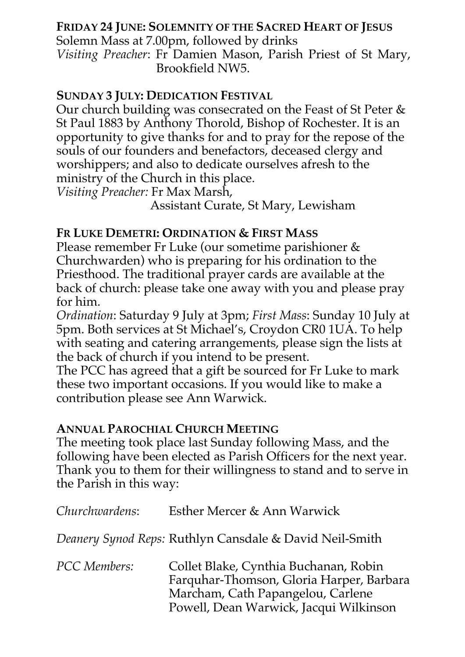#### **FRIDAY 24 JUNE: SOLEMNITY OF THE SACRED HEART OF JESUS**

Solemn Mass at 7.00pm, followed by drinks *Visiting Preacher*: Fr Damien Mason, Parish Priest of St Mary, Brookfield NW5.

#### **SUNDAY 3 JULY: DEDICATION FESTIVAL**

Our church building was consecrated on the Feast of St Peter & St Paul 1883 by Anthony Thorold, Bishop of Rochester. It is an opportunity to give thanks for and to pray for the repose of the souls of our founders and benefactors, deceased clergy and worshippers; and also to dedicate ourselves afresh to the ministry of the Church in this place.

*Visiting Preacher:* Fr Max Marsh,

Assistant Curate, St Mary, Lewisham

#### **FR LUKE DEMETRI: ORDINATION & FIRST MASS**

Please remember Fr Luke (our sometime parishioner & Churchwarden) who is preparing for his ordination to the Priesthood. The traditional prayer cards are available at the back of church: please take one away with you and please pray for him.

*Ordination*: Saturday 9 July at 3pm; *First Mass*: Sunday 10 July at 5pm. Both services at St Michael's, Croydon CR0 1UA. To help with seating and catering arrangements, please sign the lists at the back of church if you intend to be present.

The PCC has agreed that a gift be sourced for Fr Luke to mark these two important occasions. If you would like to make a contribution please see Ann Warwick.

#### **ANNUAL PAROCHIAL CHURCH MEETING**

The meeting took place last Sunday following Mass, and the following have been elected as Parish Officers for the next year. Thank you to them for their willingness to stand and to serve in the Parish in this way:

| Churchwardens:      | Esther Mercer & Ann Warwick                                                                                                                                      |
|---------------------|------------------------------------------------------------------------------------------------------------------------------------------------------------------|
|                     | Deanery Synod Reps: Ruthlyn Cansdale & David Neil-Smith                                                                                                          |
| <b>PCC</b> Members: | Collet Blake, Cynthia Buchanan, Robin<br>Farquhar-Thomson, Gloria Harper, Barbara<br>Marcham, Cath Papangelou, Carlene<br>Powell, Dean Warwick, Jacqui Wilkinson |